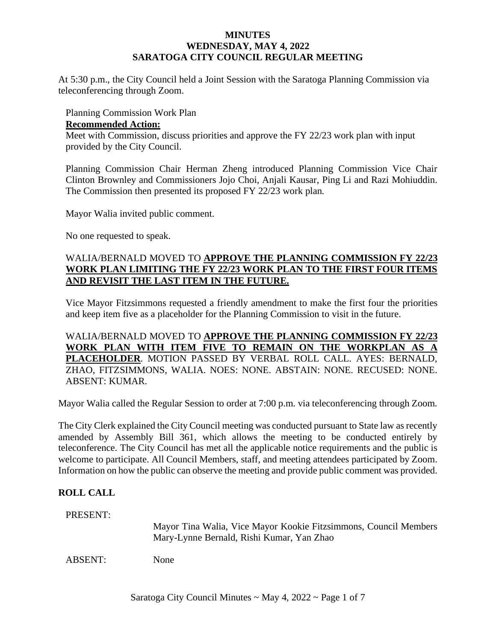### **MINUTES WEDNESDAY, MAY 4, 2022 SARATOGA CITY COUNCIL REGULAR MEETING**

At 5:30 p.m., the City Council held a Joint Session with the Saratoga Planning Commission via teleconferencing through Zoom.

Planning Commission Work Plan

### **Recommended Action:**

Meet with Commission, discuss priorities and approve the FY 22/23 work plan with input provided by the City Council.

Planning Commission Chair Herman Zheng introduced Planning Commission Vice Chair Clinton Brownley and Commissioners Jojo Choi, Anjali Kausar, Ping Li and Razi Mohiuddin. The Commission then presented its proposed FY 22/23 work plan.

Mayor Walia invited public comment.

No one requested to speak.

# WALIA/BERNALD MOVED TO **APPROVE THE PLANNING COMMISSION FY 22/23 WORK PLAN LIMITING THE FY 22/23 WORK PLAN TO THE FIRST FOUR ITEMS AND REVISIT THE LAST ITEM IN THE FUTURE.**

Vice Mayor Fitzsimmons requested a friendly amendment to make the first four the priorities and keep item five as a placeholder for the Planning Commission to visit in the future.

WALIA/BERNALD MOVED TO **APPROVE THE PLANNING COMMISSION FY 22/23 WORK PLAN WITH ITEM FIVE TO REMAIN ON THE WORKPLAN AS A PLACEHOLDER**. MOTION PASSED BY VERBAL ROLL CALL. AYES: BERNALD, ZHAO, FITZSIMMONS, WALIA. NOES: NONE. ABSTAIN: NONE. RECUSED: NONE. ABSENT: KUMAR.

Mayor Walia called the Regular Session to order at 7:00 p.m. via teleconferencing through Zoom.

The City Clerk explained the City Council meeting was conducted pursuant to State law asrecently amended by Assembly Bill 361, which allows the meeting to be conducted entirely by teleconference. The City Council has met all the applicable notice requirements and the public is welcome to participate. All Council Members, staff, and meeting attendees participated by Zoom. Information on how the public can observe the meeting and provide public comment was provided.

# **ROLL CALL**

PRESENT:

Mayor Tina Walia, Vice Mayor Kookie Fitzsimmons, Council Members Mary-Lynne Bernald, Rishi Kumar, Yan Zhao

ABSENT: None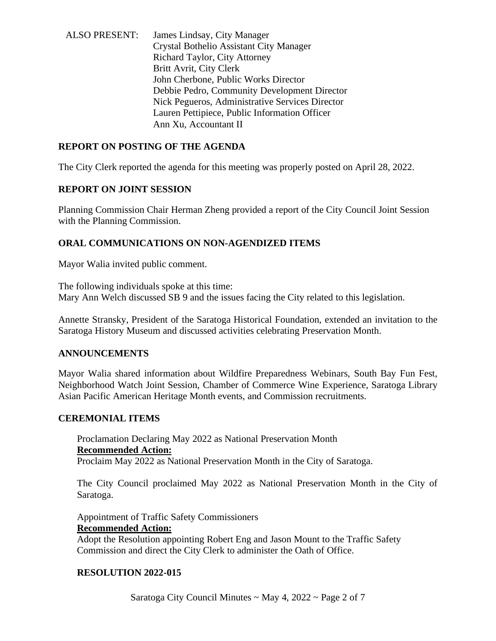ALSO PRESENT: James Lindsay, City Manager Crystal Bothelio Assistant City Manager Richard Taylor, City Attorney Britt Avrit, City Clerk John Cherbone, Public Works Director Debbie Pedro, Community Development Director Nick Pegueros, Administrative Services Director Lauren Pettipiece, Public Information Officer Ann Xu, Accountant II

# **REPORT ON POSTING OF THE AGENDA**

The City Clerk reported the agenda for this meeting was properly posted on April 28, 2022.

### **REPORT ON JOINT SESSION**

Planning Commission Chair Herman Zheng provided a report of the City Council Joint Session with the Planning Commission.

### **ORAL COMMUNICATIONS ON NON-AGENDIZED ITEMS**

Mayor Walia invited public comment.

The following individuals spoke at this time: Mary Ann Welch discussed SB 9 and the issues facing the City related to this legislation.

Annette Stransky, President of the Saratoga Historical Foundation, extended an invitation to the Saratoga History Museum and discussed activities celebrating Preservation Month.

### **ANNOUNCEMENTS**

Mayor Walia shared information about Wildfire Preparedness Webinars, South Bay Fun Fest, Neighborhood Watch Joint Session, Chamber of Commerce Wine Experience, Saratoga Library Asian Pacific American Heritage Month events, and Commission recruitments.

### **CEREMONIAL ITEMS**

Proclamation Declaring May 2022 as National Preservation Month **Recommended Action:** Proclaim May 2022 as National Preservation Month in the City of Saratoga.

The City Council proclaimed May 2022 as National Preservation Month in the City of Saratoga.

Appointment of Traffic Safety Commissioners **Recommended Action:** Adopt the Resolution appointing Robert Eng and Jason Mount to the Traffic Safety Commission and direct the City Clerk to administer the Oath of Office.

### **RESOLUTION 2022-015**

Saratoga City Council Minutes  $\sim$  May 4, 2022  $\sim$  Page 2 of 7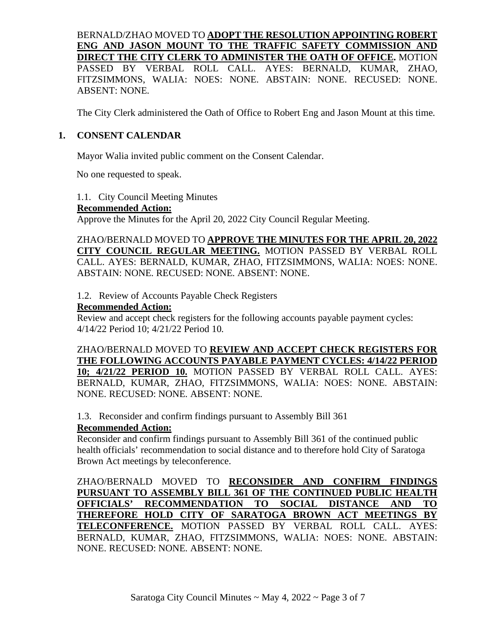# BERNALD/ZHAO MOVED TO **ADOPT THE RESOLUTION APPOINTING ROBERT ENG AND JASON MOUNT TO THE TRAFFIC SAFETY COMMISSION AND DIRECT THE CITY CLERK TO ADMINISTER THE OATH OF OFFICE.** MOTION PASSED BY VERBAL ROLL CALL. AYES: BERNALD, KUMAR, ZHAO, FITZSIMMONS, WALIA: NOES: NONE. ABSTAIN: NONE. RECUSED: NONE. ABSENT: NONE.

The City Clerk administered the Oath of Office to Robert Eng and Jason Mount at this time.

### **1. CONSENT CALENDAR**

Mayor Walia invited public comment on the Consent Calendar.

No one requested to speak.

1.1. City Council Meeting Minutes

#### **Recommended Action:**

Approve the Minutes for the April 20, 2022 City Council Regular Meeting.

ZHAO/BERNALD MOVED TO **APPROVE THE MINUTES FOR THE APRIL 20, 2022 CITY COUNCIL REGULAR MEETING.** MOTION PASSED BY VERBAL ROLL CALL. AYES: BERNALD, KUMAR, ZHAO, FITZSIMMONS, WALIA: NOES: NONE. ABSTAIN: NONE. RECUSED: NONE. ABSENT: NONE.

1.2. Review of Accounts Payable Check Registers

#### **Recommended Action:**

Review and accept check registers for the following accounts payable payment cycles: 4/14/22 Period 10; 4/21/22 Period 10.

# ZHAO/BERNALD MOVED TO **REVIEW AND ACCEPT CHECK REGISTERS FOR THE FOLLOWING ACCOUNTS PAYABLE PAYMENT CYCLES: 4/14/22 PERIOD**

**10; 4/21/22 PERIOD 10.** MOTION PASSED BY VERBAL ROLL CALL. AYES: BERNALD, KUMAR, ZHAO, FITZSIMMONS, WALIA: NOES: NONE. ABSTAIN: NONE. RECUSED: NONE. ABSENT: NONE.

1.3. Reconsider and confirm findings pursuant to Assembly Bill 361

### **Recommended Action:**

Reconsider and confirm findings pursuant to Assembly Bill 361 of the continued public health officials' recommendation to social distance and to therefore hold City of Saratoga Brown Act meetings by teleconference.

ZHAO/BERNALD MOVED TO **RECONSIDER AND CONFIRM FINDINGS PURSUANT TO ASSEMBLY BILL 361 OF THE CONTINUED PUBLIC HEALTH OFFICIALS' RECOMMENDATION TO SOCIAL DISTANCE AND TO THEREFORE HOLD CITY OF SARATOGA BROWN ACT MEETINGS BY TELECONFERENCE.** MOTION PASSED BY VERBAL ROLL CALL. AYES: BERNALD, KUMAR, ZHAO, FITZSIMMONS, WALIA: NOES: NONE. ABSTAIN: NONE. RECUSED: NONE. ABSENT: NONE.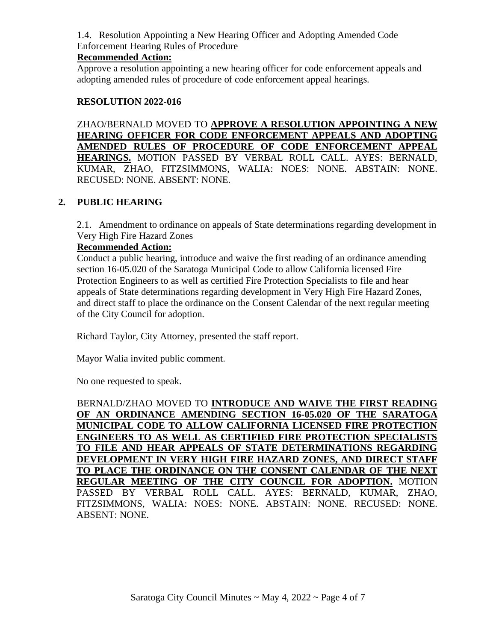1.4. Resolution Appointing a New Hearing Officer and Adopting Amended Code Enforcement Hearing Rules of Procedure

### **Recommended Action:**

Approve a resolution appointing a new hearing officer for code enforcement appeals and adopting amended rules of procedure of code enforcement appeal hearings.

### **RESOLUTION 2022-016**

ZHAO/BERNALD MOVED TO **APPROVE A RESOLUTION APPOINTING A NEW HEARING OFFICER FOR CODE ENFORCEMENT APPEALS AND ADOPTING AMENDED RULES OF PROCEDURE OF CODE ENFORCEMENT APPEAL HEARINGS.** MOTION PASSED BY VERBAL ROLL CALL. AYES: BERNALD, KUMAR, ZHAO, FITZSIMMONS, WALIA: NOES: NONE. ABSTAIN: NONE. RECUSED: NONE. ABSENT: NONE.

### **2. PUBLIC HEARING**

2.1. Amendment to ordinance on appeals of State determinations regarding development in Very High Fire Hazard Zones

### **Recommended Action:**

Conduct a public hearing, introduce and waive the first reading of an ordinance amending section 16-05.020 of the Saratoga Municipal Code to allow California licensed Fire Protection Engineers to as well as certified Fire Protection Specialists to file and hear appeals of State determinations regarding development in Very High Fire Hazard Zones, and direct staff to place the ordinance on the Consent Calendar of the next regular meeting of the City Council for adoption.

Richard Taylor, City Attorney, presented the staff report.

Mayor Walia invited public comment.

No one requested to speak.

BERNALD/ZHAO MOVED TO **INTRODUCE AND WAIVE THE FIRST READING OF AN ORDINANCE AMENDING SECTION 16-05.020 OF THE SARATOGA MUNICIPAL CODE TO ALLOW CALIFORNIA LICENSED FIRE PROTECTION ENGINEERS TO AS WELL AS CERTIFIED FIRE PROTECTION SPECIALISTS TO FILE AND HEAR APPEALS OF STATE DETERMINATIONS REGARDING DEVELOPMENT IN VERY HIGH FIRE HAZARD ZONES, AND DIRECT STAFF TO PLACE THE ORDINANCE ON THE CONSENT CALENDAR OF THE NEXT REGULAR MEETING OF THE CITY COUNCIL FOR ADOPTION.** MOTION PASSED BY VERBAL ROLL CALL. AYES: BERNALD, KUMAR, ZHAO, FITZSIMMONS, WALIA: NOES: NONE. ABSTAIN: NONE. RECUSED: NONE. ABSENT: NONE.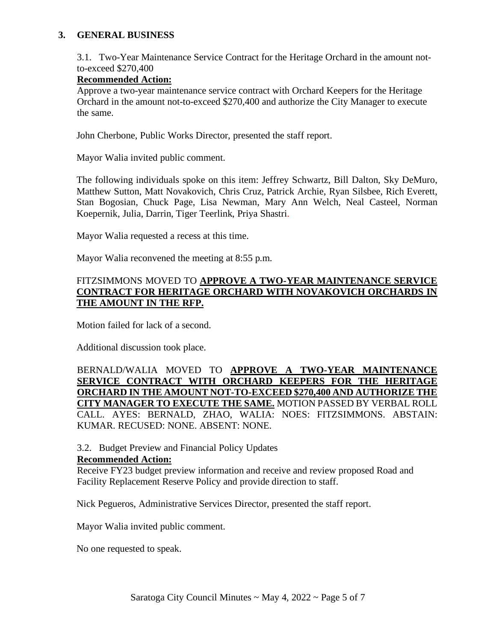### **3. GENERAL BUSINESS**

3.1. Two-Year Maintenance Service Contract for the Heritage Orchard in the amount notto-exceed \$270,400

### **Recommended Action:**

Approve a two-year maintenance service contract with Orchard Keepers for the Heritage Orchard in the amount not-to-exceed \$270,400 and authorize the City Manager to execute the same.

John Cherbone, Public Works Director, presented the staff report.

Mayor Walia invited public comment.

The following individuals spoke on this item: Jeffrey Schwartz, Bill Dalton, Sky DeMuro, Matthew Sutton, Matt Novakovich, Chris Cruz, Patrick Archie, Ryan Silsbee, Rich Everett, Stan Bogosian, Chuck Page, Lisa Newman, Mary Ann Welch, Neal Casteel, Norman Koepernik, Julia, Darrin, Tiger Teerlink, Priya Shastri.

Mayor Walia requested a recess at this time.

Mayor Walia reconvened the meeting at 8:55 p.m.

### FITZSIMMONS MOVED TO **APPROVE A TWO-YEAR MAINTENANCE SERVICE CONTRACT FOR HERITAGE ORCHARD WITH NOVAKOVICH ORCHARDS IN THE AMOUNT IN THE RFP.**

Motion failed for lack of a second.

Additional discussion took place.

BERNALD/WALIA MOVED TO **APPROVE A TWO-YEAR MAINTENANCE SERVICE CONTRACT WITH ORCHARD KEEPERS FOR THE HERITAGE ORCHARD IN THE AMOUNT NOT-TO-EXCEED \$270,400 AND AUTHORIZE THE CITY MANAGER TO EXECUTE THE SAME.** MOTION PASSED BY VERBAL ROLL CALL. AYES: BERNALD, ZHAO, WALIA: NOES: FITZSIMMONS. ABSTAIN: KUMAR. RECUSED: NONE. ABSENT: NONE.

# 3.2. Budget Preview and Financial Policy Updates

#### **Recommended Action:**

Receive FY23 budget preview information and receive and review proposed Road and Facility Replacement Reserve Policy and provide direction to staff.

Nick Pegueros, Administrative Services Director, presented the staff report.

Mayor Walia invited public comment.

No one requested to speak.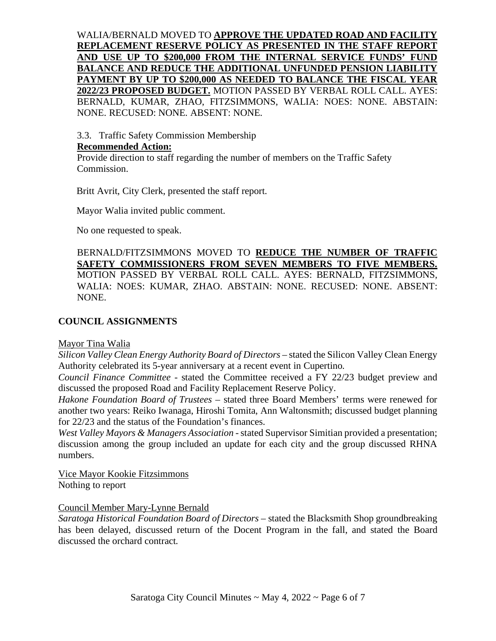WALIA/BERNALD MOVED TO **APPROVE THE UPDATED ROAD AND FACILITY REPLACEMENT RESERVE POLICY AS PRESENTED IN THE STAFF REPORT AND USE UP TO \$200,000 FROM THE INTERNAL SERVICE FUNDS' FUND BALANCE AND REDUCE THE ADDITIONAL UNFUNDED PENSION LIABILITY PAYMENT BY UP TO \$200,000 AS NEEDED TO BALANCE THE FISCAL YEAR 2022/23 PROPOSED BUDGET.** MOTION PASSED BY VERBAL ROLL CALL. AYES: BERNALD, KUMAR, ZHAO, FITZSIMMONS, WALIA: NOES: NONE. ABSTAIN: NONE. RECUSED: NONE. ABSENT: NONE.

3.3. Traffic Safety Commission Membership

### **Recommended Action:**

Provide direction to staff regarding the number of members on the Traffic Safety Commission.

Britt Avrit, City Clerk, presented the staff report.

Mayor Walia invited public comment.

No one requested to speak.

BERNALD/FITZSIMMONS MOVED TO **REDUCE THE NUMBER OF TRAFFIC SAFETY COMMISSIONERS FROM SEVEN MEMBERS TO FIVE MEMBERS.** MOTION PASSED BY VERBAL ROLL CALL. AYES: BERNALD, FITZSIMMONS, WALIA: NOES: KUMAR, ZHAO. ABSTAIN: NONE. RECUSED: NONE. ABSENT: NONE.

# **COUNCIL ASSIGNMENTS**

# Mayor Tina Walia

*Silicon Valley Clean Energy Authority Board of Directors* – stated the Silicon Valley Clean Energy Authority celebrated its 5-year anniversary at a recent event in Cupertino.

*Council Finance Committee* - stated the Committee received a FY 22/23 budget preview and discussed the proposed Road and Facility Replacement Reserve Policy.

*Hakone Foundation Board of Trustees* – stated three Board Members' terms were renewed for another two years: Reiko Iwanaga, Hiroshi Tomita, Ann Waltonsmith; discussed budget planning for 22/23 and the status of the Foundation's finances.

*West Valley Mayors & Managers Association* - stated Supervisor Simitian provided a presentation; discussion among the group included an update for each city and the group discussed RHNA numbers.

Vice Mayor Kookie Fitzsimmons Nothing to report

# Council Member Mary-Lynne Bernald

*Saratoga Historical Foundation Board of Directors* – stated the Blacksmith Shop groundbreaking has been delayed, discussed return of the Docent Program in the fall, and stated the Board discussed the orchard contract.